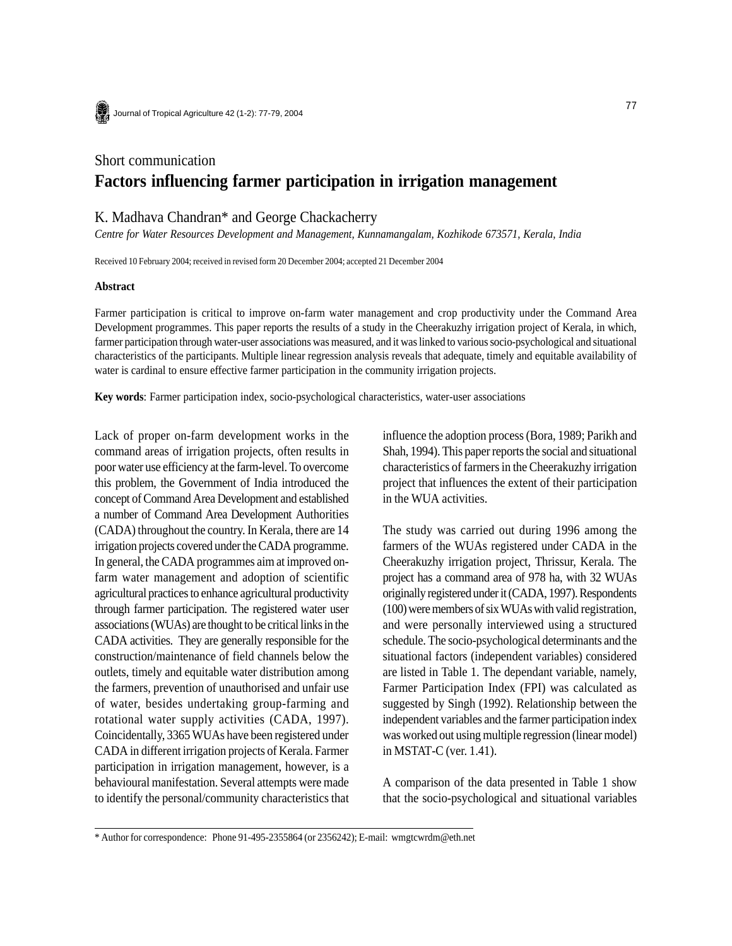Journal of Tropical Agriculture 42 (1-2): 77-79, 2004

# Short communication **Factors influencing farmer participation in irrigation management**

# K. Madhava Chandran\* and George Chackacherry

*Centre for Water Resources Development and Management, Kunnamangalam, Kozhikode 673571, Kerala, India*

Received 10 February 2004; received in revised form 20 December 2004; accepted 21 December 2004

#### **Abstract**

Farmer participation is critical to improve on-farm water management and crop productivity under the Command Area Development programmes. This paper reports the results of a study in the Cheerakuzhy irrigation project of Kerala, in which, farmer participation through water-user associations was measured, and it was linked to various socio-psychological and situational characteristics of the participants. Multiple linear regression analysis reveals that adequate, timely and equitable availability of water is cardinal to ensure effective farmer participation in the community irrigation projects.

**Key words**: Farmer participation index, socio-psychological characteristics, water-user associations

Lack of proper on-farm development works in the command areas of irrigation projects, often results in poor water use efficiency at the farm-level. To overcome this problem, the Government of India introduced the concept of Command Area Development and established a number of Command Area Development Authorities (CADA) throughout the country. In Kerala, there are 14 irrigation projects covered under the CADA programme. In general, the CADA programmes aim at improved onfarm water management and adoption of scientific agricultural practices to enhance agricultural productivity through farmer participation. The registered water user associations (WUAs) are thought to be critical links in the CADA activities. They are generally responsible for the construction/maintenance of field channels below the outlets, timely and equitable water distribution among the farmers, prevention of unauthorised and unfair use of water, besides undertaking group-farming and rotational water supply activities (CADA, 1997). Coincidentally, 3365 WUAs have been registered under CADA in different irrigation projects of Kerala. Farmer participation in irrigation management, however, is a behavioural manifestation. Several attempts were made to identify the personal/community characteristics that influence the adoption process (Bora, 1989; Parikh and Shah, 1994). This paper reports the social and situational characteristics of farmers in the Cheerakuzhy irrigation project that influences the extent of their participation in the WUA activities.

The study was carried out during 1996 among the farmers of the WUAs registered under CADA in the Cheerakuzhy irrigation project, Thrissur, Kerala. The project has a command area of 978 ha, with 32 WUAs originally registered under it (CADA, 1997). Respondents (100) were members of six WUAs with valid registration, and were personally interviewed using a structured schedule. The socio-psychological determinants and the situational factors (independent variables) considered are listed in Table 1. The dependant variable, namely, Farmer Participation Index (FPI) was calculated as suggested by Singh (1992). Relationship between the independent variables and the farmer participation index was worked out using multiple regression (linear model) in MSTAT-C (ver. 1.41).

A comparison of the data presented in Table 1 show that the socio-psychological and situational variables

<sup>\*</sup> Author for correspondence: Phone 91-495-2355864 (or 2356242); E-mail: wmgtcwrdm@eth.net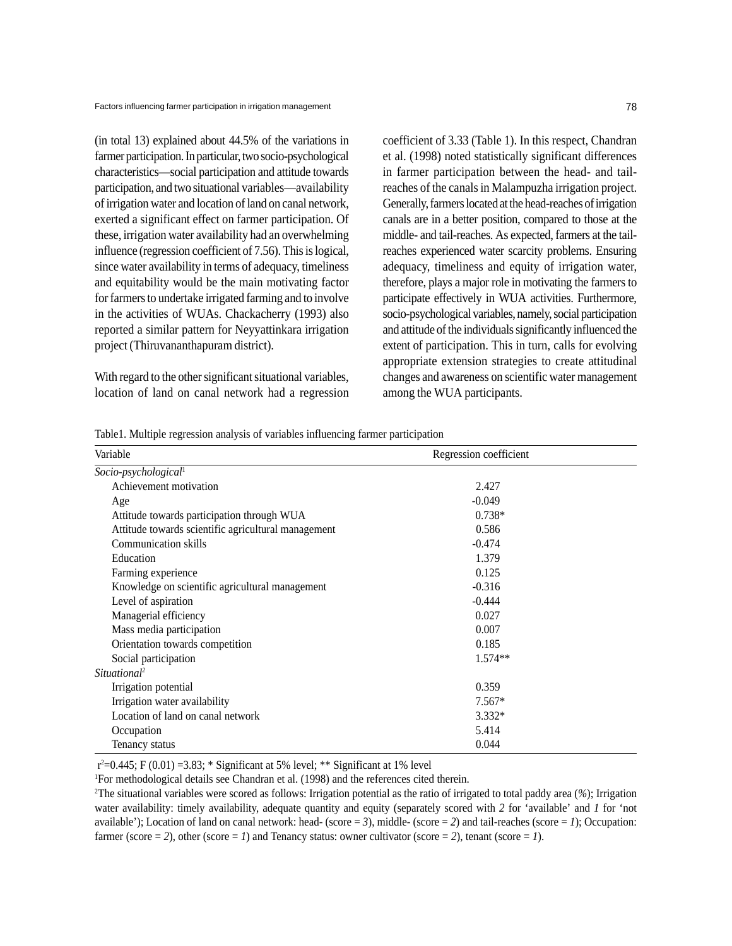(in total 13) explained about 44.5% of the variations in farmer participation. In particular, two socio-psychological characteristics—social participation and attitude towards participation, and two situational variables—availability of irrigation water and location of land on canal network, exerted a significant effect on farmer participation. Of these, irrigation water availability had an overwhelming influence (regression coefficient of 7.56). This is logical, since water availability in terms of adequacy, timeliness and equitability would be the main motivating factor for farmers to undertake irrigated farming and to involve in the activities of WUAs. Chackacherry (1993) also reported a similar pattern for Neyyattinkara irrigation project (Thiruvananthapuram district).

With regard to the other significant situational variables, location of land on canal network had a regression coefficient of 3.33 (Table 1). In this respect, Chandran et al. (1998) noted statistically significant differences in farmer participation between the head- and tailreaches of the canals in Malampuzha irrigation project. Generally, farmers located at the head-reaches of irrigation canals are in a better position, compared to those at the middle- and tail-reaches. As expected, farmers at the tailreaches experienced water scarcity problems. Ensuring adequacy, timeliness and equity of irrigation water, therefore, plays a major role in motivating the farmers to participate effectively in WUA activities. Furthermore, socio-psychological variables, namely, social participation and attitude of the individuals significantly influenced the extent of participation. This in turn, calls for evolving appropriate extension strategies to create attitudinal changes and awareness on scientific water management among the WUA participants.

Table1. Multiple regression analysis of variables influencing farmer participation

| Variable                                            | Regression coefficient |  |
|-----------------------------------------------------|------------------------|--|
| Socio-psychological <sup>1</sup>                    |                        |  |
| Achievement motivation                              | 2.427                  |  |
| Age                                                 | $-0.049$               |  |
| Attitude towards participation through WUA          | $0.738*$               |  |
| Attitude towards scientific agricultural management | 0.586                  |  |
| Communication skills                                | $-0.474$               |  |
| Education                                           | 1.379                  |  |
| Farming experience                                  | 0.125                  |  |
| Knowledge on scientific agricultural management     | $-0.316$               |  |
| Level of aspiration                                 | $-0.444$               |  |
| Managerial efficiency                               | 0.027                  |  |
| Mass media participation                            | 0.007                  |  |
| Orientation towards competition                     | 0.185                  |  |
| Social participation                                | $1.574**$              |  |
| Situational <sup>2</sup>                            |                        |  |
| Irrigation potential                                | 0.359                  |  |
| Irrigation water availability                       | $7.567*$               |  |
| Location of land on canal network                   | $3.332*$               |  |
| Occupation                                          | 5.414                  |  |
| Tenancy status                                      | 0.044                  |  |

 $r^2 = 0.445$ ; F (0.01) = 3.83; \* Significant at 5% level; \*\* Significant at 1% level

1 For methodological details see Chandran et al. (1998) and the references cited therein.

2 The situational variables were scored as follows: Irrigation potential as the ratio of irrigated to total paddy area (*%*); Irrigation water availability: timely availability, adequate quantity and equity (separately scored with *2* for 'available' and *1* for 'not available'); Location of land on canal network: head- (score  $= 3$ ), middle- (score  $= 2$ ) and tail-reaches (score  $= 1$ ); Occupation: farmer (score  $= 2$ ), other (score  $= 1$ ) and Tenancy status: owner cultivator (score  $= 2$ ), tenant (score  $= 1$ ).